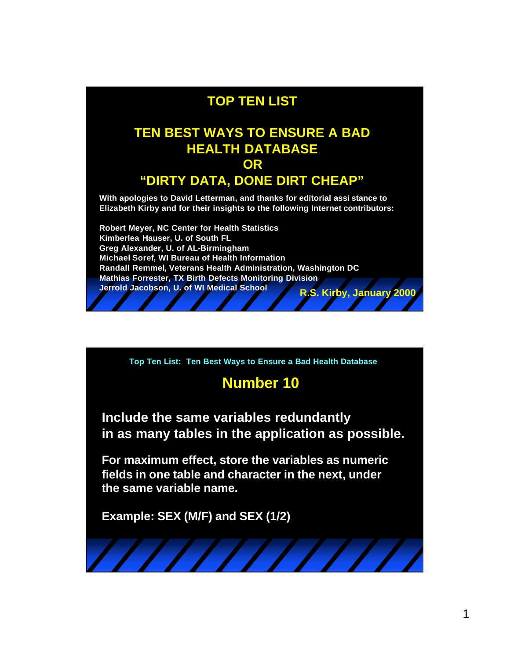### **TOP TEN LIST**

#### **TEN BEST WAYS TO ENSURE A BAD HEALTH DATABASE OR**

#### **"DIRTY DATA, DONE DIRT CHEAP"**

**With apologies to David Letterman, and thanks for editorial assi stance to Elizabeth Kirby and for their insights to the following Internet contributors:** 

**Robert Meyer, NC Center for Health Statistics Kimberlea Hauser, U. of South FL Greg Alexander, U. of AL-Birmingham Michael Soref, WI Bureau of Health Information Randall Remmel, Veterans Health Administration, Washington DC Mathias Forrester, TX Birth Defects Monitoring Division Jerrold Jacobson, U. of WI Medical School R.S. Kirby, January 2000**

**Top Ten List: Ten Best Ways to Ensure a Bad Health Database**

### **Number 10**

**Include the same variables redundantly in as many tables in the application as possible.**

**For maximum effect, store the variables as numeric fields in one table and character in the next, under the same variable name.**

**Example: SEX (M/F) and SEX (1/2)**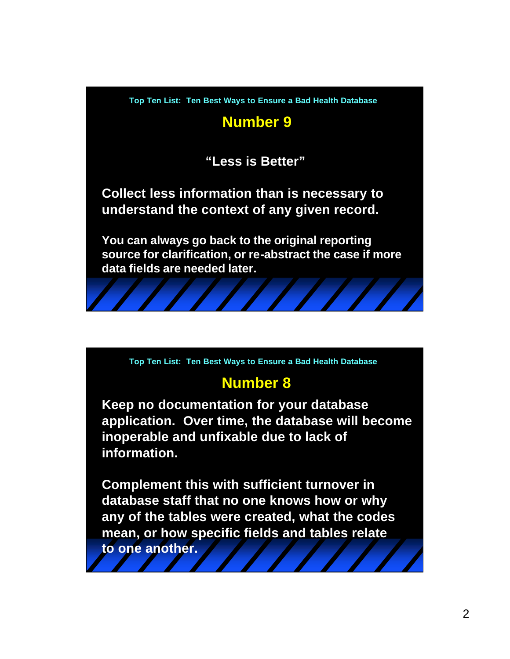# **Number 9**

**"Less is Better"**

**Collect less information than is necessary to understand the context of any given record.**

**You can always go back to the original reporting source for clarification, or re-abstract the case if more data fields are needed later.**

**Top Ten List: Ten Best Ways to Ensure a Bad Health Database**

### **Number 8**

**Keep no documentation for your database application. Over time, the database will become inoperable and unfixable due to lack of information.**

**Complement this with sufficient turnover in database staff that no one knows how or why any of the tables were created, what the codes mean, or how specific fields and tables relate to one another.**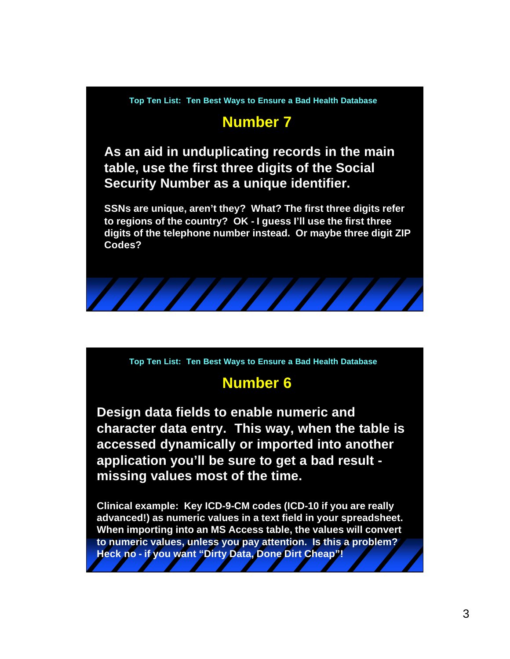## **Number 7**

**As an aid in unduplicating records in the main table, use the first three digits of the Social Security Number as a unique identifier.**

**SSNs are unique, aren't they? What? The first three digits refer to regions of the country? OK - I guess I'll use the first three digits of the telephone number instead. Or maybe three digit ZIP Codes?**



**Top Ten List: Ten Best Ways to Ensure a Bad Health Database**

### **Number 6**

**Design data fields to enable numeric and character data entry. This way, when the table is accessed dynamically or imported into another application you'll be sure to get a bad result missing values most of the time.**

**Clinical example: Key ICD-9-CM codes (ICD-10 if you are really advanced!) as numeric values in a text field in your spreadsheet. When importing into an MS Access table, the values will convert to numeric values, unless you pay attention. Is this a problem? Heck no - if you want "Dirty Data, Done Dirt Cheap"!**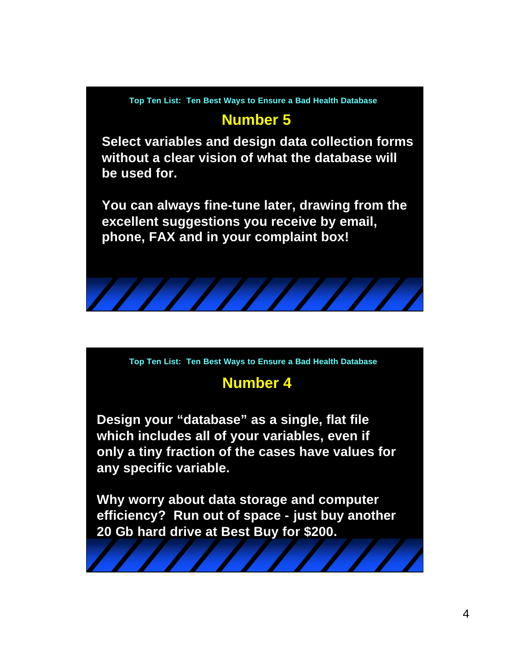

## **Number 5**

**Select variables and design data collection forms without a clear vision of what the database will be used for.** 

**You can always fine-tune later, drawing from the excellent suggestions you receive by email, phone, FAX and in your complaint box!**



**Top Ten List: Ten Best Ways to Ensure a Bad Health Database**

# **Number 4**

**Design your "database" as a single, flat file which includes all of your variables, even if only a tiny fraction of the cases have values for any specific variable.** 

**Why worry about data storage and computer efficiency? Run out of space - just buy another 20 Gb hard drive at Best Buy for \$200.**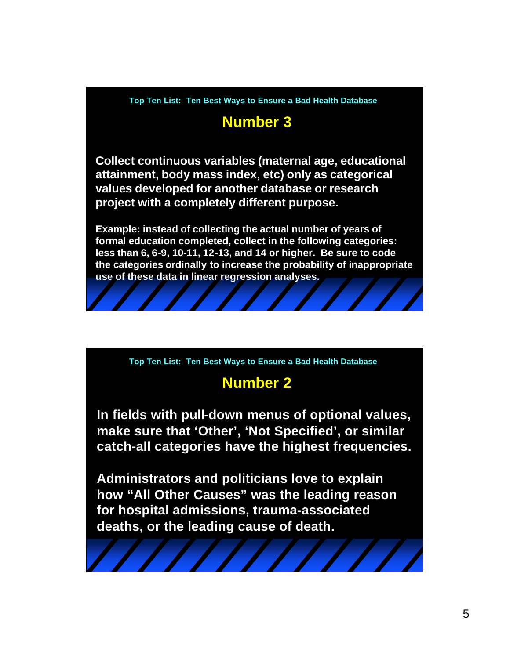# **Number 3**

**Collect continuous variables (maternal age, educational attainment, body mass index, etc) only as categorical values developed for another database or research project with a completely different purpose.**

**Example: instead of collecting the actual number of years of formal education completed, collect in the following categories: less than 6, 6-9, 10-11, 12-13, and 14 or higher. Be sure to code the categories ordinally to increase the probability of inappropriate use of these data in linear regression analyses.**

**Top Ten List: Ten Best Ways to Ensure a Bad Health Database**

### **Number 2**

**In fields with pull-down menus of optional values, make sure that 'Other', 'Not Specified', or similar catch-all categories have the highest frequencies.**

**Administrators and politicians love to explain how "All Other Causes" was the leading reason for hospital admissions, trauma-associated deaths, or the leading cause of death.**